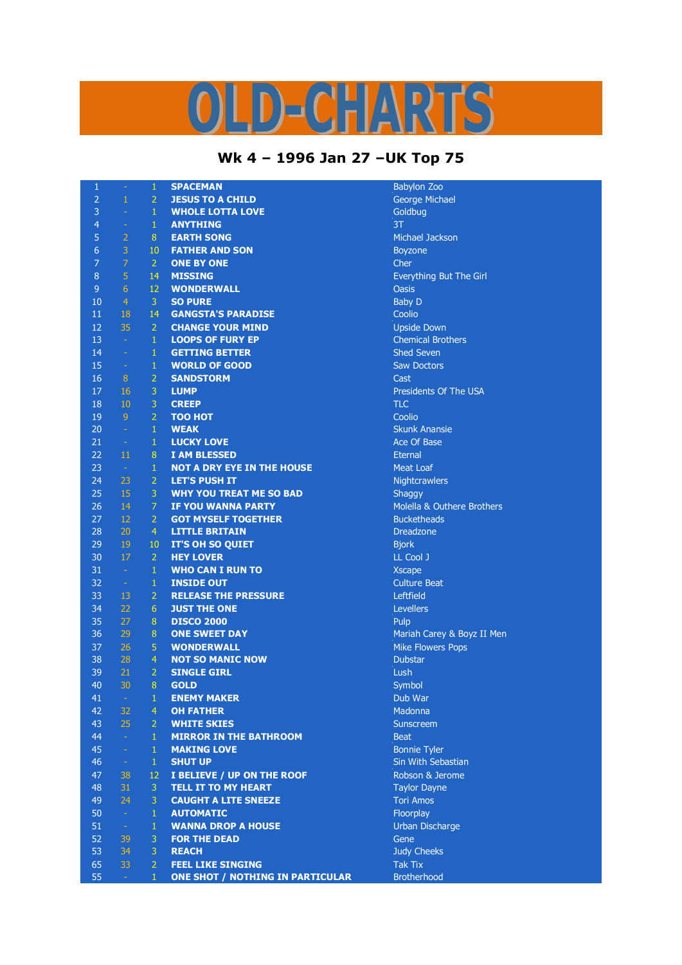## S  $C = M^2$  $\mathbf{D}$

## **Wk 4 – 1996 Jan 27 –UK Top 75**

| $\mathbf{1}$   | ÷              | 1              | <b>SPACEMAN</b>                         | <b>Babylon Zoo</b>  |
|----------------|----------------|----------------|-----------------------------------------|---------------------|
| $\overline{2}$ | $\mathbf{1}$   | $\overline{2}$ | <b>JESUS TO A CHILD</b>                 | <b>George Mich</b>  |
| 3              | ÷              | $\mathbf{1}$   | <b>WHOLE LOTTA LOVE</b>                 | Goldbug             |
| $\overline{4}$ | $\Box$         | $\mathbf{1}$   | <b>ANYTHING</b>                         | 3T                  |
| 5              | $\overline{2}$ | 8              | <b>EARTH SONG</b>                       | <b>Michael Jack</b> |
| $\overline{6}$ | $\overline{3}$ | 10             | <b>FATHER AND SON</b>                   | <b>Boyzone</b>      |
| $\overline{7}$ | $\overline{7}$ | $\overline{2}$ | <b>ONE BY ONE</b>                       | Cher                |
| $\,8\,$        | 5              | 14             | <b>MISSING</b>                          | Everything B        |
| 9              | 6              | 12             | <b>WONDERWALL</b>                       | <b>Oasis</b>        |
| 10             | $\overline{4}$ | 3              | <b>SO PURE</b>                          | <b>Baby D</b>       |
| 11             | 18             | 14             | <b>GANGSTA'S PARADISE</b>               | Coolio              |
| 12             | 35             | $\overline{2}$ | <b>CHANGE YOUR MIND</b>                 | <b>Upside Down</b>  |
| 13             | $\omega$       | $\mathbf{1}$   | <b>LOOPS OF FURY EP</b>                 | <b>Chemical Brd</b> |
| 14             | $\sim$         | $\mathbf{1}$   | <b>GETTING BETTER</b>                   | <b>Shed Seven</b>   |
| 15             | $\equiv$       | $\mathbf 1$    | <b>WORLD OF GOOD</b>                    | <b>Saw Doctors</b>  |
| 16             | $\, 8$         | $\overline{a}$ | <b>SANDSTORM</b>                        | Cast                |
| 17             | 16             | 3              | <b>LUMP</b>                             | Presidents O        |
| 18             | 10             | 3              | <b>CREEP</b>                            | <b>TLC</b>          |
| 19             | 9              | $\overline{2}$ | <b>TOO HOT</b>                          | Coolio              |
| 20             | $\Box$         | $\mathbf{1}$   | <b>WEAK</b>                             | <b>Skunk Anans</b>  |
| 21             | $\rightarrow$  | $\mathbf{1}$   | <b>LUCKY LOVE</b>                       | Ace Of Base         |
| 22             | 11             | 8              | <b>I AM BLESSED</b>                     | <b>Eternal</b>      |
| 23             | $\rightarrow$  | $\mathbf{1}$   | <b>NOT A DRY EYE IN THE HOUSE</b>       | Meat Loaf           |
| 24             | 23             | $\overline{2}$ | <b>LET'S PUSH IT</b>                    | Nightcrawler        |
| 25             | 15             | 3              | <b>WHY YOU TREAT ME SO BAD</b>          | Shaggy              |
| 26             | 14             | $\overline{7}$ | <b>IF YOU WANNA PARTY</b>               | Molella & Ou        |
| 27             | 12             | $\overline{2}$ | <b>GOT MYSELF TOGETHER</b>              | <b>Bucketheads</b>  |
| 28             | 20             | $\overline{4}$ | <b>LITTLE BRITAIN</b>                   | <b>Dreadzone</b>    |
| 29             | 19             | 10             | <b>IT'S OH SO QUIET</b>                 | <b>Bjork</b>        |
| 30             | 17             | $\overline{2}$ | <b>HEY LOVER</b>                        | LL Cool J           |
| 31             | $\rightarrow$  | $\mathbf{1}$   | <b>WHO CAN I RUN TO</b>                 | <b>Xscape</b>       |
| 32             | $\rightarrow$  | $\mathbf{1}$   | <b>INSIDE OUT</b>                       | <b>Culture Beat</b> |
| 33             | 13             | $\overline{2}$ | <b>RELEASE THE PRESSURE</b>             | Leftfield           |
| 34             | 22             | 6              | <b>JUST THE ONE</b>                     | <b>Levellers</b>    |
| 35             | 27             | 8              | <b>DISCO 2000</b>                       | Pulp                |
| 36             | 29             | 8              | <b>ONE SWEET DAY</b>                    | <b>Mariah Carey</b> |
| 37             | 26             | 5              | <b>WONDERWALL</b>                       | <b>Mike Flowers</b> |
| 38             | 28             | 4              | <b>NOT SO MANIC NOW</b>                 | <b>Dubstar</b>      |
| 39             | 21             | $\overline{2}$ | <b>SINGLE GIRL</b>                      | Lush                |
| 40             | 30             | 8              | <b>GOLD</b>                             | Symbol              |
| 41             | $\sim$ $\sim$  | 1              | <b>ENEMY MAKER</b>                      | Dub War             |
| 42             | 32             | 4              | <b>OH FATHER</b>                        | Madonna             |
| 43             | 25             | $\overline{2}$ | <b>WHITE SKIES</b>                      | Sunscreem           |
| 44             | $\omega$       | $\mathbf{1}$   | <b>MIRROR IN THE BATHROOM</b>           | <b>Beat</b>         |
| 45             | $\sim$         | $\mathbf{1}$   | <b>MAKING LOVE</b>                      | <b>Bonnie Tyler</b> |
| 46             | $\omega$       | $\mathbf{1}$   | <b>SHUT UP</b>                          | Sin With Seb        |
| 47             | 38             | 12             | I BELIEVE / UP ON THE ROOF              | Robson & Je         |
| 48             | 31             | 3              | <b>TELL IT TO MY HEART</b>              | Taylor Dayn         |
| 49             | 24             | 3              | <b>CAUGHT A LITE SNEEZE</b>             | <b>Tori Amos</b>    |
| 50             | $\omega$       | $\mathbf{1}$   | <b>AUTOMATIC</b>                        | Floorplay           |
| 51             | $\rightarrow$  | $\mathbf{1}$   | <b>WANNA DROP A HOUSE</b>               | Urban Disch         |
| 52             | 39             | 3              | <b>FOR THE DEAD</b>                     | Gene                |
| 53             | 34             | 3              | <b>REACH</b>                            | <b>Judy Cheeks</b>  |
| 65             | 33             | $\overline{2}$ | <b>FEEL LIKE SINGING</b>                | <b>Tak Tix</b>      |
| 55             | $\omega$       | 1              | <b>ONE SHOT / NOTHING IN PARTICULAR</b> | <b>Brotherhood</b>  |

prge Michael<br>dbug hael Jackson rything But The Girl ide Down mical Brothers sidents Of The USA **Ink Anansie** htcrawlers **Iella & Outhere Brothers** <sup>.</sup><br>ture Beat riah Carey & Boyz II Men **E** Flowers Pops nnie Tyler **With Sebastian**  38 12 **I BELIEVE / UP ON THE ROOF** Robson & Jerome 31 3 **TELL IT TO MY HEART** Taylor Dayne an Discharge